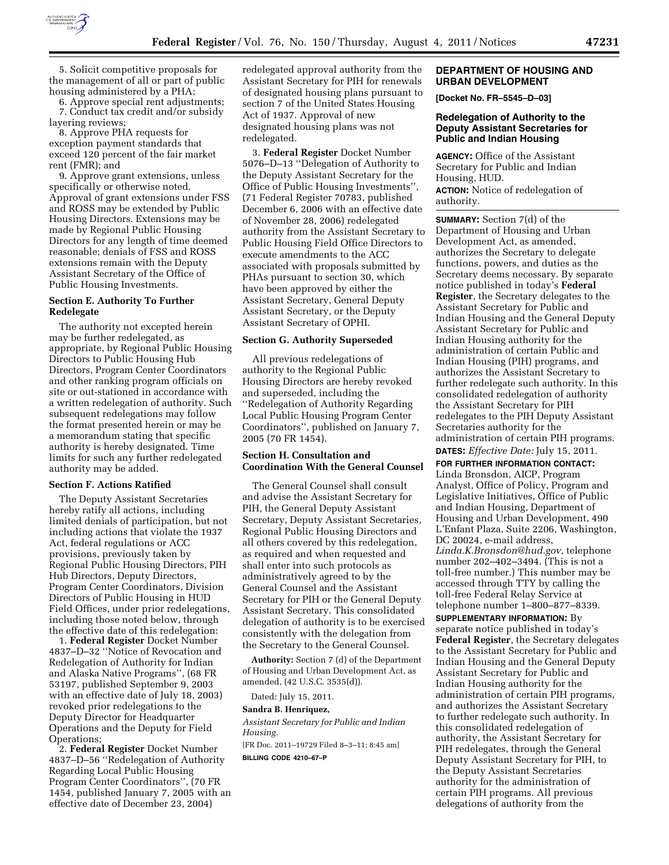

5. Solicit competitive proposals for the management of all or part of public housing administered by a PHA;

6. Approve special rent adjustments; 7. Conduct tax credit and/or subsidy layering reviews;

8. Approve PHA requests for exception payment standards that exceed 120 percent of the fair market rent (FMR); and

9. Approve grant extensions, unless specifically or otherwise noted. Approval of grant extensions under FSS and ROSS may be extended by Public Housing Directors. Extensions may be made by Regional Public Housing Directors for any length of time deemed reasonable; denials of FSS and ROSS extensions remain with the Deputy Assistant Secretary of the Office of Public Housing Investments.

## **Section E. Authority To Further Redelegate**

The authority not excepted herein may be further redelegated, as appropriate, by Regional Public Housing Directors to Public Housing Hub Directors, Program Center Coordinators and other ranking program officials on site or out-stationed in accordance with a written redelegation of authority. Such subsequent redelegations may follow the format presented herein or may be a memorandum stating that specific authority is hereby designated. Time limits for such any further redelegated authority may be added.

## **Section F. Actions Ratified**

The Deputy Assistant Secretaries hereby ratify all actions, including limited denials of participation, but not including actions that violate the 1937 Act, federal regulations or ACC provisions, previously taken by Regional Public Housing Directors, PIH Hub Directors, Deputy Directors, Program Center Coordinators, Division Directors of Public Housing in HUD Field Offices, under prior redelegations, including those noted below, through the effective date of this redelegation:

1. **Federal Register** Docket Number 4837–D–32 ''Notice of Revocation and Redelegation of Authority for Indian and Alaska Native Programs'', (68 FR 53197, published September 9, 2003 with an effective date of July 18, 2003) revoked prior redelegations to the Deputy Director for Headquarter Operations and the Deputy for Field Operations;

2. **Federal Register** Docket Number 4837–D–56 ''Redelegation of Authority Regarding Local Public Housing Program Center Coordinators'', (70 FR 1454, published January 7, 2005 with an effective date of December 23, 2004)

redelegated approval authority from the Assistant Secretary for PIH for renewals of designated housing plans pursuant to section 7 of the United States Housing Act of 1937. Approval of new designated housing plans was not redelegated.

3. **Federal Register** Docket Number 5076–D–13 ''Delegation of Authority to the Deputy Assistant Secretary for the Office of Public Housing Investments'', (71 Federal Register 70783, published December 6, 2006 with an effective date of November 28, 2006) redelegated authority from the Assistant Secretary to Public Housing Field Office Directors to execute amendments to the ACC associated with proposals submitted by PHAs pursuant to section 30, which have been approved by either the Assistant Secretary, General Deputy Assistant Secretary, or the Deputy Assistant Secretary of OPHI.

# **Section G. Authority Superseded**

All previous redelegations of authority to the Regional Public Housing Directors are hereby revoked and superseded, including the ''Redelegation of Authority Regarding Local Public Housing Program Center Coordinators'', published on January 7, 2005 (70 FR 1454).

# **Section H. Consultation and Coordination With the General Counsel**

The General Counsel shall consult and advise the Assistant Secretary for PIH, the General Deputy Assistant Secretary, Deputy Assistant Secretaries, Regional Public Housing Directors and all others covered by this redelegation, as required and when requested and shall enter into such protocols as administratively agreed to by the General Counsel and the Assistant Secretary for PIH or the General Deputy Assistant Secretary. This consolidated delegation of authority is to be exercised consistently with the delegation from the Secretary to the General Counsel.

**Authority:** Section 7 (d) of the Department of Housing and Urban Development Act, as amended, (42 U.S.C. 3535(d)).

Dated: July 15, 2011.

# **Sandra B. Henriquez,**

*Assistant Secretary for Public and Indian Housing.* 

[FR Doc. 2011–19729 Filed 8–3–11; 8:45 am] **BILLING CODE 4210–67–P** 

## **DEPARTMENT OF HOUSING AND URBAN DEVELOPMENT**

**[Docket No. FR–5545–D–03]** 

## **Redelegation of Authority to the Deputy Assistant Secretaries for Public and Indian Housing**

**AGENCY:** Office of the Assistant Secretary for Public and Indian Housing, HUD.

**ACTION:** Notice of redelegation of authority.

**SUMMARY:** Section 7(d) of the Department of Housing and Urban Development Act, as amended, authorizes the Secretary to delegate functions, powers, and duties as the Secretary deems necessary. By separate notice published in today's **Federal Register**, the Secretary delegates to the Assistant Secretary for Public and Indian Housing and the General Deputy Assistant Secretary for Public and Indian Housing authority for the administration of certain Public and Indian Housing (PIH) programs, and authorizes the Assistant Secretary to further redelegate such authority. In this consolidated redelegation of authority the Assistant Secretary for PIH redelegates to the PIH Deputy Assistant Secretaries authority for the administration of certain PIH programs. **DATES:** *Effective Date:* July 15, 2011.

**FOR FURTHER INFORMATION CONTACT:**  Linda Bronsdon, AICP, Program Analyst, Office of Policy, Program and Legislative Initiatives, Office of Public and Indian Housing, Department of Housing and Urban Development, 490 L'Enfant Plaza, Suite 2206, Washington, DC 20024, e-mail address, *[Linda.K.Bronsdon@hud.gov,](mailto:Linda.K.Bronsdon@hud.gov)* telephone number 202–402–3494. (This is not a toll-free number.) This number may be accessed through TTY by calling the toll-free Federal Relay Service at telephone number 1–800–877–8339.

**SUPPLEMENTARY INFORMATION:** By separate notice published in today's **Federal Register**, the Secretary delegates to the Assistant Secretary for Public and Indian Housing and the General Deputy Assistant Secretary for Public and Indian Housing authority for the administration of certain PIH programs, and authorizes the Assistant Secretary to further redelegate such authority. In this consolidated redelegation of authority, the Assistant Secretary for PIH redelegates, through the General Deputy Assistant Secretary for PIH, to the Deputy Assistant Secretaries authority for the administration of certain PIH programs. All previous delegations of authority from the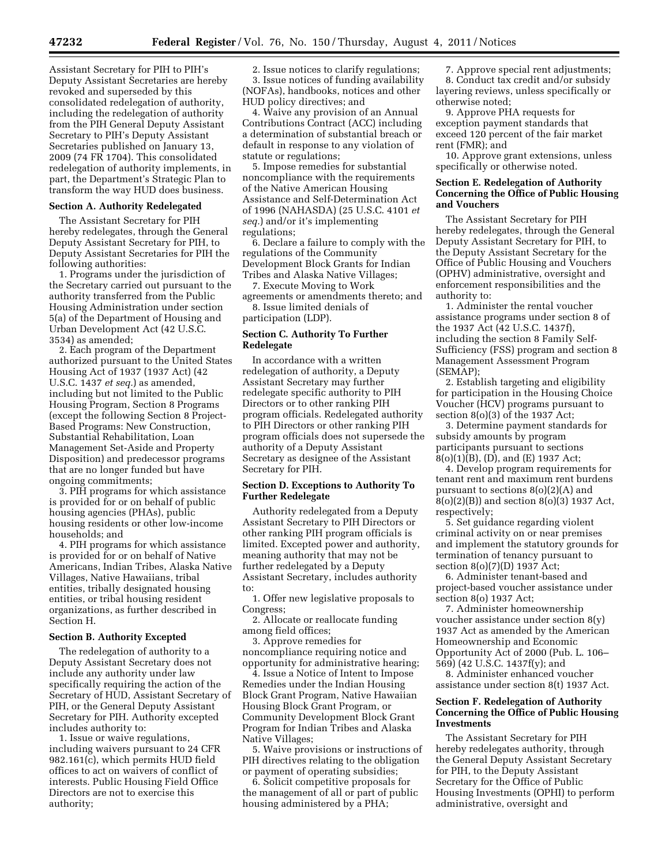Assistant Secretary for PIH to PIH's Deputy Assistant Secretaries are hereby revoked and superseded by this consolidated redelegation of authority, including the redelegation of authority from the PIH General Deputy Assistant Secretary to PIH's Deputy Assistant Secretaries published on January 13, 2009 (74 FR 1704). This consolidated redelegation of authority implements, in part, the Department's Strategic Plan to transform the way HUD does business.

#### **Section A. Authority Redelegated**

The Assistant Secretary for PIH hereby redelegates, through the General Deputy Assistant Secretary for PIH, to Deputy Assistant Secretaries for PIH the following authorities:

1. Programs under the jurisdiction of the Secretary carried out pursuant to the authority transferred from the Public Housing Administration under section 5(a) of the Department of Housing and Urban Development Act (42 U.S.C. 3534) as amended;

2. Each program of the Department authorized pursuant to the United States Housing Act of 1937 (1937 Act) (42 U.S.C. 1437 *et seq.*) as amended, including but not limited to the Public Housing Program, Section 8 Programs (except the following Section 8 Project-Based Programs: New Construction, Substantial Rehabilitation, Loan Management Set-Aside and Property Disposition) and predecessor programs that are no longer funded but have ongoing commitments;

3. PIH programs for which assistance is provided for or on behalf of public housing agencies (PHAs), public housing residents or other low-income households; and

4. PIH programs for which assistance is provided for or on behalf of Native Americans, Indian Tribes, Alaska Native Villages, Native Hawaiians, tribal entities, tribally designated housing entities, or tribal housing resident organizations, as further described in Section H.

#### **Section B. Authority Excepted**

The redelegation of authority to a Deputy Assistant Secretary does not include any authority under law specifically requiring the action of the Secretary of HUD, Assistant Secretary of PIH, or the General Deputy Assistant Secretary for PIH. Authority excepted includes authority to:

1. Issue or waive regulations, including waivers pursuant to 24 CFR 982.161(c), which permits HUD field offices to act on waivers of conflict of interests. Public Housing Field Office Directors are not to exercise this authority;

2. Issue notices to clarify regulations; 3. Issue notices of funding availability (NOFAs), handbooks, notices and other HUD policy directives; and

4. Waive any provision of an Annual Contributions Contract (ACC) including a determination of substantial breach or default in response to any violation of statute or regulations;

5. Impose remedies for substantial noncompliance with the requirements of the Native American Housing Assistance and Self-Determination Act of 1996 (NAHASDA) (25 U.S.C. 4101 *et seq.*) and/or it's implementing regulations;

6. Declare a failure to comply with the regulations of the Community Development Block Grants for Indian Tribes and Alaska Native Villages;

7. Execute Moving to Work agreements or amendments thereto; and

8. Issue limited denials of participation (LDP).

# **Section C. Authority To Further Redelegate**

In accordance with a written redelegation of authority, a Deputy Assistant Secretary may further redelegate specific authority to PIH Directors or to other ranking PIH program officials. Redelegated authority to PIH Directors or other ranking PIH program officials does not supersede the authority of a Deputy Assistant Secretary as designee of the Assistant Secretary for PIH.

### **Section D. Exceptions to Authority To Further Redelegate**

Authority redelegated from a Deputy Assistant Secretary to PIH Directors or other ranking PIH program officials is limited. Excepted power and authority, meaning authority that may not be further redelegated by a Deputy Assistant Secretary, includes authority to:

1. Offer new legislative proposals to Congress;

2. Allocate or reallocate funding among field offices;

3. Approve remedies for noncompliance requiring notice and opportunity for administrative hearing;

4. Issue a Notice of Intent to Impose Remedies under the Indian Housing Block Grant Program, Native Hawaiian Housing Block Grant Program, or Community Development Block Grant Program for Indian Tribes and Alaska Native Villages;

5. Waive provisions or instructions of PIH directives relating to the obligation or payment of operating subsidies;

6. Solicit competitive proposals for the management of all or part of public housing administered by a PHA;

7. Approve special rent adjustments; 8. Conduct tax credit and/or subsidy layering reviews, unless specifically or otherwise noted;

9. Approve PHA requests for exception payment standards that exceed 120 percent of the fair market rent (FMR); and

10. Approve grant extensions, unless specifically or otherwise noted.

## **Section E. Redelegation of Authority Concerning the Office of Public Housing and Vouchers**

The Assistant Secretary for PIH hereby redelegates, through the General Deputy Assistant Secretary for PIH, to the Deputy Assistant Secretary for the Office of Public Housing and Vouchers (OPHV) administrative, oversight and enforcement responsibilities and the authority to:

1. Administer the rental voucher assistance programs under section 8 of the 1937 Act (42 U.S.C. 1437f), including the section 8 Family Self-Sufficiency (FSS) program and section 8 Management Assessment Program (SEMAP);

2. Establish targeting and eligibility for participation in the Housing Choice Voucher (HCV) programs pursuant to section 8(o)(3) of the 1937 Act;

3. Determine payment standards for subsidy amounts by program participants pursuant to sections 8(o)(1)(B), (D), and (E) 1937 Act;

4. Develop program requirements for tenant rent and maximum rent burdens pursuant to sections 8(o)(2)(A) and 8(o)(2)(B)) and section 8(o)(3) 1937 Act, respectively;

5. Set guidance regarding violent criminal activity on or near premises and implement the statutory grounds for termination of tenancy pursuant to section 8(o)(7)(D) 1937 Act;

6. Administer tenant-based and project-based voucher assistance under section 8(o) 1937 Act;

7. Administer homeownership voucher assistance under section 8(y) 1937 Act as amended by the American Homeownership and Economic Opportunity Act of 2000 (Pub. L. 106– 569) (42 U.S.C. 1437f(y); and

8. Administer enhanced voucher assistance under section 8(t) 1937 Act.

# **Section F. Redelegation of Authority Concerning the Office of Public Housing Investments**

The Assistant Secretary for PIH hereby redelegates authority, through the General Deputy Assistant Secretary for PIH, to the Deputy Assistant Secretary for the Office of Public Housing Investments (OPHI) to perform administrative, oversight and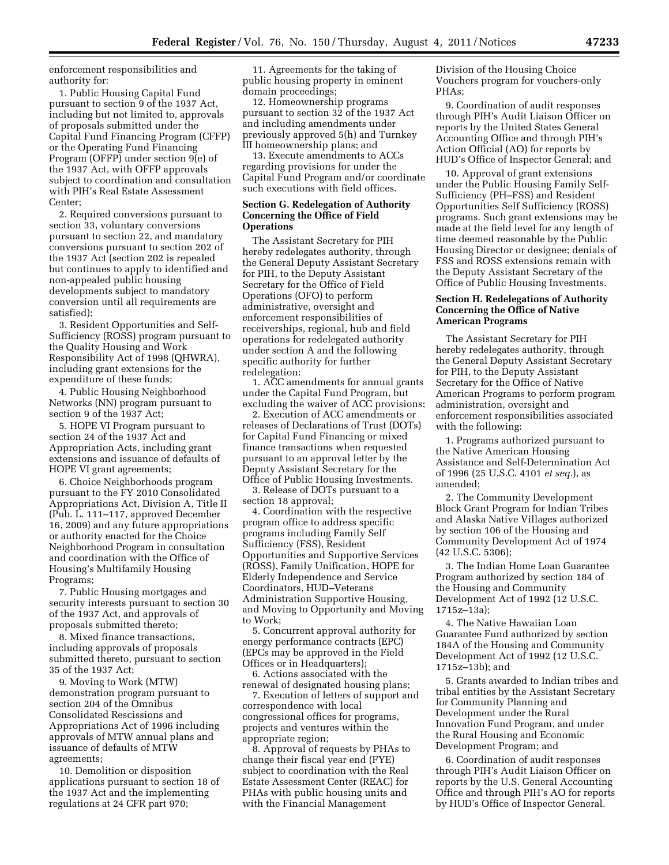enforcement responsibilities and authority for:

1. Public Housing Capital Fund pursuant to section 9 of the 1937 Act, including but not limited to, approvals of proposals submitted under the Capital Fund Financing Program (CFFP) or the Operating Fund Financing Program (OFFP) under section 9(e) of the 1937 Act, with OFFP approvals subject to coordination and consultation with PIH's Real Estate Assessment Center;

2. Required conversions pursuant to section 33, voluntary conversions pursuant to section 22, and mandatory conversions pursuant to section 202 of the 1937 Act (section 202 is repealed but continues to apply to identified and non-appealed public housing developments subject to mandatory conversion until all requirements are satisfied);

3. Resident Opportunities and Self-Sufficiency (ROSS) program pursuant to the Quality Housing and Work Responsibility Act of 1998 (QHWRA), including grant extensions for the expenditure of these funds;

4. Public Housing Neighborhood Networks (NN) program pursuant to section 9 of the 1937 Act;

5. HOPE VI Program pursuant to section 24 of the 1937 Act and Appropriation Acts, including grant extensions and issuance of defaults of HOPE VI grant agreements;

6. Choice Neighborhoods program pursuant to the FY 2010 Consolidated Appropriations Act, Division A, Title II (Pub. L. 111–117, approved December 16, 2009) and any future appropriations or authority enacted for the Choice Neighborhood Program in consultation and coordination with the Office of Housing's Multifamily Housing Programs;

7. Public Housing mortgages and security interests pursuant to section 30 of the 1937 Act, and approvals of proposals submitted thereto;

8. Mixed finance transactions, including approvals of proposals submitted thereto, pursuant to section 35 of the 1937 Act;

9. Moving to Work (MTW) demonstration program pursuant to section 204 of the Omnibus Consolidated Rescissions and Appropriations Act of 1996 including approvals of MTW annual plans and issuance of defaults of MTW agreements;

10. Demolition or disposition applications pursuant to section 18 of the 1937 Act and the implementing regulations at 24 CFR part 970;

11. Agreements for the taking of public housing property in eminent domain proceedings;

12. Homeownership programs pursuant to section 32 of the 1937 Act and including amendments under previously approved 5(h) and Turnkey III homeownership plans; and

13. Execute amendments to ACCs regarding provisions for under the Capital Fund Program and/or coordinate such executions with field offices.

# **Section G. Redelegation of Authority Concerning the Office of Field Operations**

The Assistant Secretary for PIH hereby redelegates authority, through the General Deputy Assistant Secretary for PIH, to the Deputy Assistant Secretary for the Office of Field Operations (OFO) to perform administrative, oversight and enforcement responsibilities of receiverships, regional, hub and field operations for redelegated authority under section A and the following specific authority for further redelegation:

1. ACC amendments for annual grants under the Capital Fund Program, but excluding the waiver of ACC provisions;

2. Execution of ACC amendments or releases of Declarations of Trust (DOTs) for Capital Fund Financing or mixed finance transactions when requested pursuant to an approval letter by the Deputy Assistant Secretary for the Office of Public Housing Investments.

3. Release of DOTs pursuant to a section 18 approval;

4. Coordination with the respective program office to address specific programs including Family Self Sufficiency (FSS), Resident Opportunities and Supportive Services (ROSS), Family Unification, HOPE for Elderly Independence and Service Coordinators, HUD–Veterans Administration Supportive Housing, and Moving to Opportunity and Moving to Work;

5. Concurrent approval authority for energy performance contracts (EPC) (EPCs may be approved in the Field Offices or in Headquarters);

6. Actions associated with the renewal of designated housing plans;

7. Execution of letters of support and correspondence with local congressional offices for programs, projects and ventures within the appropriate region;

8. Approval of requests by PHAs to change their fiscal year end (FYE) subject to coordination with the Real Estate Assessment Center (REAC) for PHAs with public housing units and with the Financial Management

Division of the Housing Choice Vouchers program for vouchers-only PHAs;

9. Coordination of audit responses through PIH's Audit Liaison Officer on reports by the United States General Accounting Office and through PIH's Action Official (AO) for reports by HUD's Office of Inspector General; and

10. Approval of grant extensions under the Public Housing Family Self-Sufficiency (PH–FSS) and Resident Opportunities Self Sufficiency (ROSS) programs. Such grant extensions may be made at the field level for any length of time deemed reasonable by the Public Housing Director or designee; denials of FSS and ROSS extensions remain with the Deputy Assistant Secretary of the Office of Public Housing Investments.

## **Section H. Redelegations of Authority Concerning the Office of Native American Programs**

The Assistant Secretary for PIH hereby redelegates authority, through the General Deputy Assistant Secretary for PIH, to the Deputy Assistant Secretary for the Office of Native American Programs to perform program administration, oversight and enforcement responsibilities associated with the following:

1. Programs authorized pursuant to the Native American Housing Assistance and Self-Determination Act of 1996 (25 U.S.C. 4101 *et seq.*), as amended;

2. The Community Development Block Grant Program for Indian Tribes and Alaska Native Villages authorized by section 106 of the Housing and Community Development Act of 1974 (42 U.S.C. 5306);

3. The Indian Home Loan Guarantee Program authorized by section 184 of the Housing and Community Development Act of 1992 (12 U.S.C. 1715z–13a);

4. The Native Hawaiian Loan Guarantee Fund authorized by section 184A of the Housing and Community Development Act of 1992 (12 U.S.C. 1715z–13b); and

5. Grants awarded to Indian tribes and tribal entities by the Assistant Secretary for Community Planning and Development under the Rural Innovation Fund Program, and under the Rural Housing and Economic Development Program; and

6. Coordination of audit responses through PIH's Audit Liaison Officer on reports by the U.S. General Accounting Office and through PIH's AO for reports by HUD's Office of Inspector General.